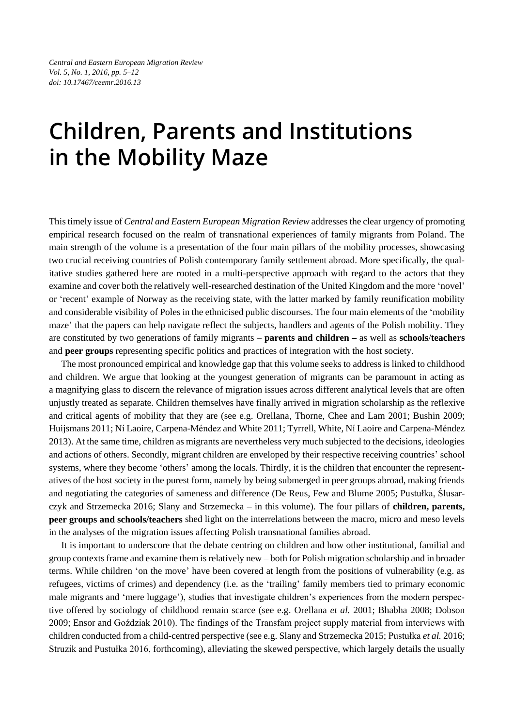*Central and Eastern European Migration Review Vol. 5, No. 1, 2016, pp. 5–12 doi: 10.17467/ceemr.2016.13*

## **Children, Parents and Institutions in the Mobility Maze**

This timely issue of *Central and Eastern European Migration Review* addresses the clear urgency of promoting empirical research focused on the realm of transnational experiences of family migrants from Poland. The main strength of the volume is a presentation of the four main pillars of the mobility processes, showcasing two crucial receiving countries of Polish contemporary family settlement abroad. More specifically, the qualitative studies gathered here are rooted in a multi-perspective approach with regard to the actors that they examine and cover both the relatively well-researched destination of the United Kingdom and the more 'novel' or 'recent' example of Norway as the receiving state, with the latter marked by family reunification mobility and considerable visibility of Poles in the ethnicised public discourses. The four main elements of the 'mobility maze' that the papers can help navigate reflect the subjects, handlers and agents of the Polish mobility. They are constituted by two generations of family migrants – **parents and children –** as well as **schools**/**teachers** and **peer groups** representing specific politics and practices of integration with the host society.

The most pronounced empirical and knowledge gap that this volume seeks to address is linked to childhood and children. We argue that looking at the youngest generation of migrants can be paramount in acting as a magnifying glass to discern the relevance of migration issues across different analytical levels that are often unjustly treated as separate. Children themselves have finally arrived in migration scholarship as the reflexive and critical agents of mobility that they are (see e.g. Orellana, Thorne, Chee and Lam 2001; Bushin 2009; Huijsmans 2011; Ní Laoire, Carpena-Méndez and White 2011; Tyrrell, White, Ní Laoire and Carpena-Méndez 2013). At the same time, children as migrants are nevertheless very much subjected to the decisions, ideologies and actions of others. Secondly, migrant children are enveloped by their respective receiving countries' school systems, where they become 'others' among the locals. Thirdly, it is the children that encounter the representatives of the host society in the purest form, namely by being submerged in peer groups abroad, making friends and negotiating the categories of sameness and difference (De Reus, Few and Blume 2005; Pustułka, Ślusarczyk and Strzemecka 2016; Slany and Strzemecka – in this volume). The four pillars of **children, parents, peer groups and schools/teachers** shed light on the interrelations between the macro, micro and meso levels in the analyses of the migration issues affecting Polish transnational families abroad.

It is important to underscore that the debate centring on children and how other institutional, familial and group contexts frame and examine them is relatively new – both for Polish migration scholarship and in broader terms. While children 'on the move' have been covered at length from the positions of vulnerability (e.g. as refugees, victims of crimes) and dependency (i.e. as the 'trailing' family members tied to primary economic male migrants and 'mere luggage'), studies that investigate children's experiences from the modern perspective offered by sociology of childhood remain scarce (see e.g. Orellana *et al.* 2001; Bhabha 2008; Dobson 2009; Ensor and Goździak 2010). The findings of the Transfam project supply material from interviews with children conducted from a child-centred perspective (see e.g. Slany and Strzemecka 2015; Pustułka *et al.* 2016; Struzik and Pustułka 2016, forthcoming), alleviating the skewed perspective, which largely details the usually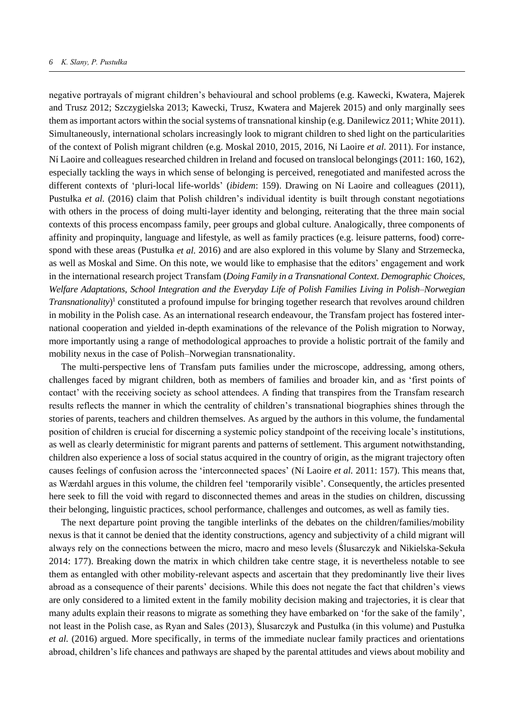negative portrayals of migrant children's behavioural and school problems (e.g. Kawecki, Kwatera, Majerek and Trusz 2012; Szczygielska 2013; Kawecki, Trusz, Kwatera and Majerek 2015) and only marginally sees them as important actors within the social systems of transnational kinship (e.g. Danilewicz 2011; White 2011). Simultaneously, international scholars increasingly look to migrant children to shed light on the particularities of the context of Polish migrant children (e.g. Moskal 2010, 2015, 2016, Ní Laoire *et al.* 2011). For instance, Ní Laoire and colleagues researched children in Ireland and focused on translocal belongings (2011: 160, 162), especially tackling the ways in which sense of belonging is perceived, renegotiated and manifested across the different contexts of 'pluri-local life-worlds' (*ibidem*: 159). Drawing on Ní Laoire and colleagues (2011), Pustułka *et al.* (2016) claim that Polish children's individual identity is built through constant negotiations with others in the process of doing multi-layer identity and belonging, reiterating that the three main social contexts of this process encompass family, peer groups and global culture. Analogically, three components of affinity and propinquity, language and lifestyle, as well as family practices (e.g. leisure patterns, food) correspond with these areas (Pustułka *et al.* 2016) and are also explored in this volume by Slany and Strzemecka, as well as Moskal and Sime. On this note, we would like to emphasise that the editors' engagement and work in the international research project Transfam (*Doing Family in a Transnational Context*. *Demographic Choices, Welfare Adaptations, School Integration and the Everyday Life of Polish Families Living in Polish–Norwegian Transnationality*) 1 constituted a profound impulse for bringing together research that revolves around children in mobility in the Polish case. As an international research endeavour, the Transfam project has fostered international cooperation and yielded in-depth examinations of the relevance of the Polish migration to Norway, more importantly using a range of methodological approaches to provide a holistic portrait of the family and mobility nexus in the case of Polish–Norwegian transnationality.

The multi-perspective lens of Transfam puts families under the microscope, addressing, among others, challenges faced by migrant children, both as members of families and broader kin, and as 'first points of contact' with the receiving society as school attendees. A finding that transpires from the Transfam research results reflects the manner in which the centrality of children's transnational biographies shines through the stories of parents, teachers and children themselves. As argued by the authors in this volume, the fundamental position of children is crucial for discerning a systemic policy standpoint of the receiving locale's institutions, as well as clearly deterministic for migrant parents and patterns of settlement. This argument notwithstanding, children also experience a loss of social status acquired in the country of origin, as the migrant trajectory often causes feelings of confusion across the 'interconnected spaces' (Ní Laoire *et al.* 2011: 157). This means that, as Wærdahl argues in this volume, the children feel 'temporarily visible'. Consequently, the articles presented here seek to fill the void with regard to disconnected themes and areas in the studies on children, discussing their belonging, linguistic practices, school performance, challenges and outcomes, as well as family ties.

The next departure point proving the tangible interlinks of the debates on the children/families/mobility nexus is that it cannot be denied that the identity constructions, agency and subjectivity of a child migrant will always rely on the connections between the micro, macro and meso levels (Ślusarczyk and Nikielska-Sekuła 2014: 177). Breaking down the matrix in which children take centre stage, it is nevertheless notable to see them as entangled with other mobility-relevant aspects and ascertain that they predominantly live their lives abroad as a consequence of their parents' decisions. While this does not negate the fact that children's views are only considered to a limited extent in the family mobility decision making and trajectories, it is clear that many adults explain their reasons to migrate as something they have embarked on 'for the sake of the family', not least in the Polish case, as Ryan and Sales (2013), Ślusarczyk and Pustułka (in this volume) and Pustułka *et al.* (2016) argued. More specifically, in terms of the immediate nuclear family practices and orientations abroad, children's life chances and pathways are shaped by the parental attitudes and views about mobility and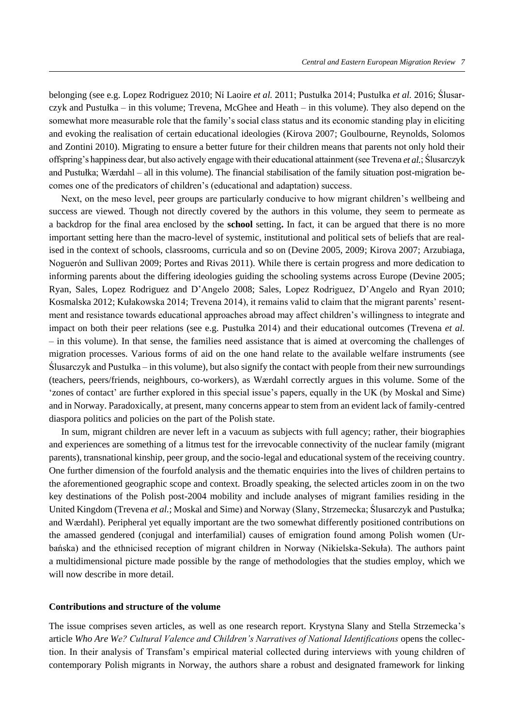belonging (see e.g. Lopez Rodriguez 2010; Ní Laoire *et al.* 2011; Pustułka 2014; Pustułka *et al.* 2016; Ślusarczyk and Pustułka – in this volume; Trevena, McGhee and Heath – in this volume). They also depend on the somewhat more measurable role that the family's social class status and its economic standing play in eliciting and evoking the realisation of certain educational ideologies (Kirova 2007; Goulbourne, Reynolds, Solomos and Zontini 2010). Migrating to ensure a better future for their children means that parents not only hold their offspring's happiness dear, but also actively engage with their educational attainment (see Trevena *et al.*; Ślusarczyk and Pustułka; Wærdahl – all in this volume). The financial stabilisation of the family situation post-migration becomes one of the predicators of children's (educational and adaptation) success.

Next, on the meso level, peer groups are particularly conducive to how migrant children's wellbeing and success are viewed. Though not directly covered by the authors in this volume, they seem to permeate as a backdrop for the final area enclosed by the **school** setting**.** In fact, it can be argued that there is no more important setting here than the macro-level of systemic, institutional and political sets of beliefs that are realised in the context of schools, classrooms, curricula and so on (Devine 2005, 2009; Kirova 2007; Arzubiaga, Noguerón and Sullivan 2009; Portes and Rivas 2011). While there is certain progress and more dedication to informing parents about the differing ideologies guiding the schooling systems across Europe (Devine 2005; Ryan, Sales, Lopez Rodriguez and D'Angelo 2008; Sales, Lopez Rodriguez, D'Angelo and Ryan 2010; Kosmalska 2012; Kułakowska 2014; Trevena 2014), it remains valid to claim that the migrant parents' resentment and resistance towards educational approaches abroad may affect children's willingness to integrate and impact on both their peer relations (see e.g. Pustułka 2014) and their educational outcomes (Trevena *et al.* – in this volume). In that sense, the families need assistance that is aimed at overcoming the challenges of migration processes. Various forms of aid on the one hand relate to the available welfare instruments (see Ślusarczyk and Pustułka – in this volume), but also signify the contact with people from their new surroundings (teachers, peers/friends, neighbours, co-workers), as Wærdahl correctly argues in this volume. Some of the 'zones of contact' are further explored in this special issue's papers, equally in the UK (by Moskal and Sime) and in Norway. Paradoxically, at present, many concerns appear to stem from an evident lack of family-centred diaspora politics and policies on the part of the Polish state.

In sum, migrant children are never left in a vacuum as subjects with full agency; rather, their biographies and experiences are something of a litmus test for the irrevocable connectivity of the nuclear family (migrant parents), transnational kinship, peer group, and the socio-legal and educational system of the receiving country. One further dimension of the fourfold analysis and the thematic enquiries into the lives of children pertains to the aforementioned geographic scope and context. Broadly speaking, the selected articles zoom in on the two key destinations of the Polish post-2004 mobility and include analyses of migrant families residing in the United Kingdom (Trevena *et al.*; Moskal and Sime) and Norway (Slany, Strzemecka; Ślusarczyk and Pustułka; and Wærdahl). Peripheral yet equally important are the two somewhat differently positioned contributions on the amassed gendered (conjugal and interfamilial) causes of emigration found among Polish women (Urbańska) and the ethnicised reception of migrant children in Norway (Nikielska-Sekuła). The authors paint a multidimensional picture made possible by the range of methodologies that the studies employ, which we will now describe in more detail.

## **Contributions and structure of the volume**

The issue comprises seven articles, as well as one research report. Krystyna Slany and Stella Strzemecka's article *Who Are We? Cultural Valence and Children's Narratives of National Identifications* opens the collection. In their analysis of Transfam's empirical material collected during interviews with young children of contemporary Polish migrants in Norway, the authors share a robust and designated framework for linking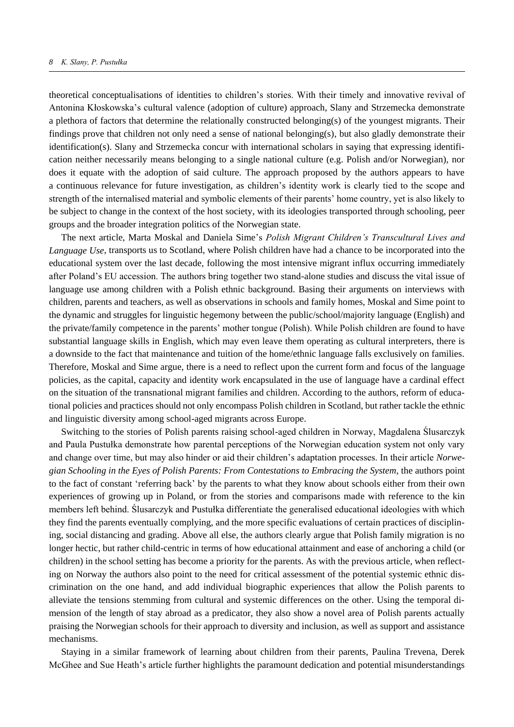theoretical conceptualisations of identities to children's stories. With their timely and innovative revival of Antonina Kłoskowska's cultural valence (adoption of culture) approach, Slany and Strzemecka demonstrate a plethora of factors that determine the relationally constructed belonging(s) of the youngest migrants. Their findings prove that children not only need a sense of national belonging(s), but also gladly demonstrate their identification(s). Slany and Strzemecka concur with international scholars in saying that expressing identification neither necessarily means belonging to a single national culture (e.g. Polish and/or Norwegian), nor does it equate with the adoption of said culture. The approach proposed by the authors appears to have a continuous relevance for future investigation, as children's identity work is clearly tied to the scope and strength of the internalised material and symbolic elements of their parents' home country, yet is also likely to be subject to change in the context of the host society, with its ideologies transported through schooling, peer groups and the broader integration politics of the Norwegian state.

The next article, Marta Moskal and Daniela Sime's *Polish Migrant Children's Transcultural Lives and Language Use*, transports us to Scotland, where Polish children have had a chance to be incorporated into the educational system over the last decade, following the most intensive migrant influx occurring immediately after Poland's EU accession. The authors bring together two stand-alone studies and discuss the vital issue of language use among children with a Polish ethnic background. Basing their arguments on interviews with children, parents and teachers, as well as observations in schools and family homes, Moskal and Sime point to the dynamic and struggles for linguistic hegemony between the public/school/majority language (English) and the private/family competence in the parents' mother tongue (Polish). While Polish children are found to have substantial language skills in English, which may even leave them operating as cultural interpreters, there is a downside to the fact that maintenance and tuition of the home/ethnic language falls exclusively on families. Therefore, Moskal and Sime argue, there is a need to reflect upon the current form and focus of the language policies, as the capital, capacity and identity work encapsulated in the use of language have a cardinal effect on the situation of the transnational migrant families and children. According to the authors, reform of educational policies and practices should not only encompass Polish children in Scotland, but rather tackle the ethnic and linguistic diversity among school-aged migrants across Europe.

Switching to the stories of Polish parents raising school-aged children in Norway, Magdalena Ślusarczyk and Paula Pustułka demonstrate how parental perceptions of the Norwegian education system not only vary and change over time, but may also hinder or aid their children's adaptation processes. In their article *Norwegian Schooling in the Eyes of Polish Parents: From Contestations to Embracing the System*, the authors point to the fact of constant 'referring back' by the parents to what they know about schools either from their own experiences of growing up in Poland, or from the stories and comparisons made with reference to the kin members left behind. Ślusarczyk and Pustułka differentiate the generalised educational ideologies with which they find the parents eventually complying, and the more specific evaluations of certain practices of disciplining, social distancing and grading. Above all else, the authors clearly argue that Polish family migration is no longer hectic, but rather child-centric in terms of how educational attainment and ease of anchoring a child (or children) in the school setting has become a priority for the parents. As with the previous article, when reflecting on Norway the authors also point to the need for critical assessment of the potential systemic ethnic discrimination on the one hand, and add individual biographic experiences that allow the Polish parents to alleviate the tensions stemming from cultural and systemic differences on the other. Using the temporal dimension of the length of stay abroad as a predicator, they also show a novel area of Polish parents actually praising the Norwegian schools for their approach to diversity and inclusion, as well as support and assistance mechanisms.

Staying in a similar framework of learning about children from their parents, Paulina Trevena, Derek McGhee and Sue Heath's article further highlights the paramount dedication and potential misunderstandings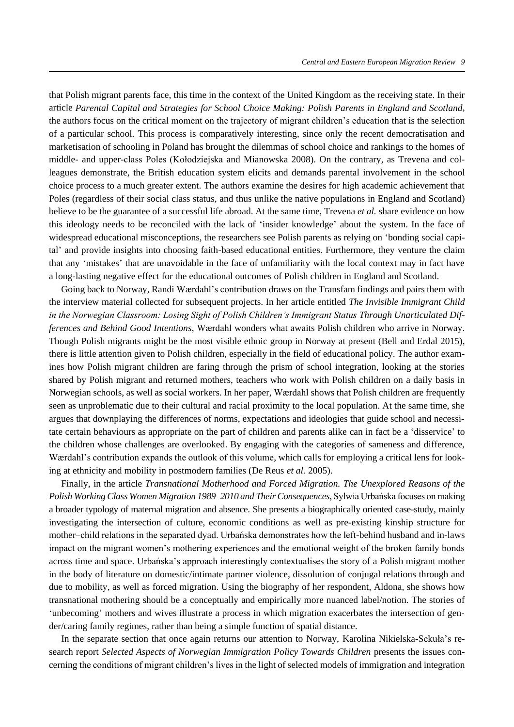that Polish migrant parents face, this time in the context of the United Kingdom as the receiving state. In their article *Parental Capital and Strategies for School Choice Making: Polish Parents in England and Scotland*, the authors focus on the critical moment on the trajectory of migrant children's education that is the selection of a particular school. This process is comparatively interesting, since only the recent democratisation and marketisation of schooling in Poland has brought the dilemmas of school choice and rankings to the homes of middle- and upper-class Poles (Kołodziejska and Mianowska 2008). On the contrary, as Trevena and colleagues demonstrate, the British education system elicits and demands parental involvement in the school choice process to a much greater extent. The authors examine the desires for high academic achievement that Poles (regardless of their social class status, and thus unlike the native populations in England and Scotland) believe to be the guarantee of a successful life abroad. At the same time, Trevena *et al.* share evidence on how this ideology needs to be reconciled with the lack of 'insider knowledge' about the system. In the face of widespread educational misconceptions, the researchers see Polish parents as relying on 'bonding social capital' and provide insights into choosing faith-based educational entities. Furthermore, they venture the claim that any 'mistakes' that are unavoidable in the face of unfamiliarity with the local context may in fact have a long-lasting negative effect for the educational outcomes of Polish children in England and Scotland.

Going back to Norway, Randi Wærdahl's contribution draws on the Transfam findings and pairs them with the interview material collected for subsequent projects. In her article entitled *The Invisible Immigrant Child in the Norwegian Classroom: Losing Sight of Polish Children's Immigrant Status Through Unarticulated Differences and Behind Good Intentions*, Wærdahl wonders what awaits Polish children who arrive in Norway. Though Polish migrants might be the most visible ethnic group in Norway at present (Bell and Erdal 2015), there is little attention given to Polish children, especially in the field of educational policy. The author examines how Polish migrant children are faring through the prism of school integration, looking at the stories shared by Polish migrant and returned mothers, teachers who work with Polish children on a daily basis in Norwegian schools, as well as social workers. In her paper, Wærdahl shows that Polish children are frequently seen as unproblematic due to their cultural and racial proximity to the local population. At the same time, she argues that downplaying the differences of norms, expectations and ideologies that guide school and necessitate certain behaviours as appropriate on the part of children and parents alike can in fact be a 'disservice' to the children whose challenges are overlooked. By engaging with the categories of sameness and difference, Wærdahl's contribution expands the outlook of this volume, which calls for employing a critical lens for looking at ethnicity and mobility in postmodern families (De Reus *et al.* 2005).

Finally, in the article *Transnational Motherhood and Forced Migration. The Unexplored Reasons of the Polish Working Class Women Migration 1989–2010 and Their Consequences*, Sylwia Urbańska focuses on making a broader typology of maternal migration and absence. She presents a biographically oriented case-study, mainly investigating the intersection of culture, economic conditions as well as pre-existing kinship structure for mother–child relations in the separated dyad. Urbańska demonstrates how the left-behind husband and in-laws impact on the migrant women's mothering experiences and the emotional weight of the broken family bonds across time and space. Urbańska's approach interestingly contextualises the story of a Polish migrant mother in the body of literature on domestic/intimate partner violence, dissolution of conjugal relations through and due to mobility, as well as forced migration. Using the biography of her respondent, Aldona, she shows how transnational mothering should be a conceptually and empirically more nuanced label/notion. The stories of 'unbecoming' mothers and wives illustrate a process in which migration exacerbates the intersection of gender/caring family regimes, rather than being a simple function of spatial distance.

In the separate section that once again returns our attention to Norway, Karolina Nikielska-Sekuła's research report *Selected Aspects of Norwegian Immigration Policy Towards Children* presents the issues concerning the conditions of migrant children's lives in the light of selected models of immigration and integration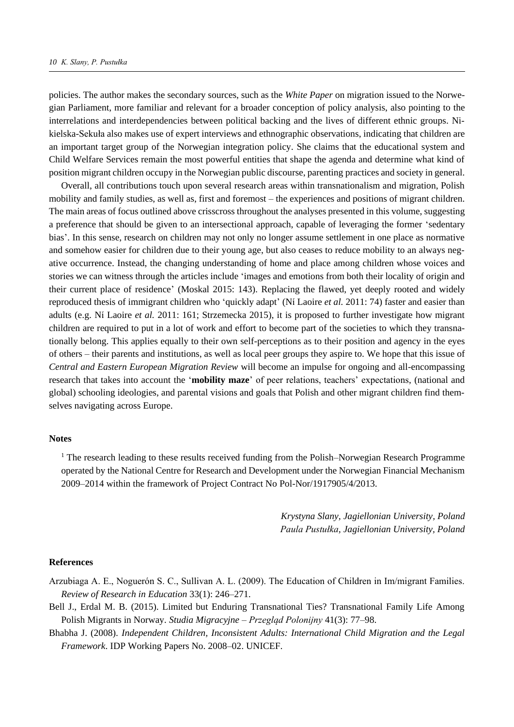policies. The author makes the secondary sources, such as the *White Paper* on migration issued to the Norwegian Parliament, more familiar and relevant for a broader conception of policy analysis, also pointing to the interrelations and interdependencies between political backing and the lives of different ethnic groups. Nikielska-Sekuła also makes use of expert interviews and ethnographic observations, indicating that children are an important target group of the Norwegian integration policy. She claims that the educational system and Child Welfare Services remain the most powerful entities that shape the agenda and determine what kind of position migrant children occupy in the Norwegian public discourse, parenting practices and society in general.

Overall, all contributions touch upon several research areas within transnationalism and migration, Polish mobility and family studies, as well as, first and foremost – the experiences and positions of migrant children. The main areas of focus outlined above crisscross throughout the analyses presented in this volume, suggesting a preference that should be given to an intersectional approach, capable of leveraging the former 'sedentary bias'. In this sense, research on children may not only no longer assume settlement in one place as normative and somehow easier for children due to their young age, but also ceases to reduce mobility to an always negative occurrence. Instead, the changing understanding of home and place among children whose voices and stories we can witness through the articles include 'images and emotions from both their locality of origin and their current place of residence' (Moskal 2015: 143). Replacing the flawed, yet deeply rooted and widely reproduced thesis of immigrant children who 'quickly adapt' (Ní Laoire *et al.* 2011: 74) faster and easier than adults (e.g. Ní Laoire *et al.* 2011: 161; Strzemecka 2015), it is proposed to further investigate how migrant children are required to put in a lot of work and effort to become part of the societies to which they transnationally belong. This applies equally to their own self-perceptions as to their position and agency in the eyes of others – their parents and institutions, as well as local peer groups they aspire to. We hope that this issue of *Central and Eastern European Migration Review* will become an impulse for ongoing and all-encompassing research that takes into account the '**mobility maze**' of peer relations, teachers' expectations, (national and global) schooling ideologies, and parental visions and goals that Polish and other migrant children find themselves navigating across Europe.

## **Notes**

<sup>1</sup> The research leading to these results received funding from the Polish–Norwegian Research Programme operated by the National Centre for Research and Development under the Norwegian Financial Mechanism 2009–2014 within the framework of Project Contract No Pol-Nor/1917905/4/2013.

> *Krystyna Slany, Jagiellonian University, Poland Paula Pustułka, Jagiellonian University, Poland*

## **References**

- Arzubiaga A. E., Noguerón S. C., Sullivan A. L. (2009). The Education of Children in Im/migrant Families. *Review of Research in Education* 33(1): 246–271.
- Bell J., Erdal M. B. (2015). Limited but Enduring Transnational Ties? Transnational Family Life Among Polish Migrants in Norway. *Studia Migracyjne* – *Przegląd Polonijny* 41(3): 77–98.
- Bhabha J. (2008). *Independent Children, Inconsistent Adults: International Child Migration and the Legal Framework*. IDP Working Papers No. 2008–02. UNICEF.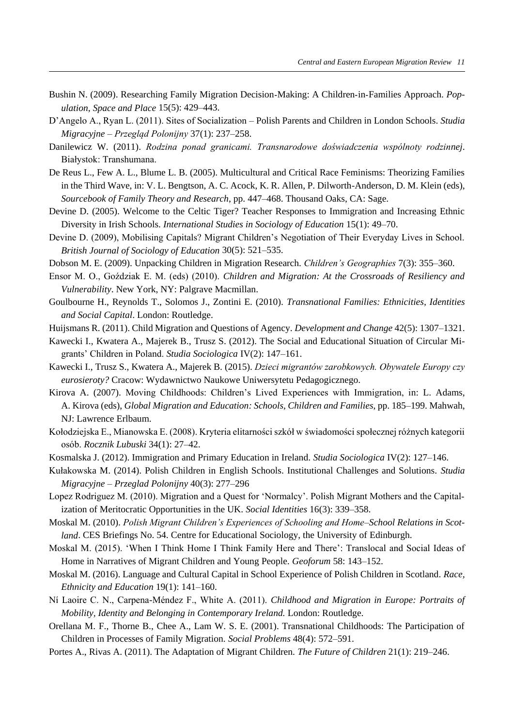- Bushin N. (2009). Researching Family Migration Decision‐Making: A Children‐in‐Families Approach. *Population, Space and Place* 15(5): 429–443.
- D'Angelo A., Ryan L. (2011). Sites of Socialization Polish Parents and Children in London Schools. *Studia Migracyjne – Przegląd Polonijny* 37(1): 237–258.
- Danilewicz W. (2011). *Rodzina ponad granicami. Transnarodowe doświadczenia wspólnoty rodzinnej*. Białystok: Transhumana.
- De Reus L., Few A. L., Blume L. B. (2005). Multicultural and Critical Race Feminisms: Theorizing Families in the Third Wave, in: V. L. Bengtson, A. C. Acock, K. R. Allen, P. Dilworth-Anderson, D. M. Klein (eds), *Sourcebook of Family Theory and Research*, pp. 447–468. Thousand Oaks, CA: Sage.
- Devine D. (2005). Welcome to the Celtic Tiger? Teacher Responses to Immigration and Increasing Ethnic Diversity in Irish Schools. *International Studies in Sociology of Education* 15(1): 49–70.
- Devine D. (2009), Mobilising Capitals? Migrant Children's Negotiation of Their Everyday Lives in School. *British Journal of Sociology of Education* 30(5): 521–535.
- Dobson M. E. (2009). Unpacking Children in Migration Research. *Children's Geographies* 7(3): 355–360.
- Ensor M. O., Goździak E. M. (eds) (2010). *Children and Migration: At the Crossroads of Resiliency and Vulnerability*. New York, NY: Palgrave Macmillan.
- Goulbourne H., Reynolds T., Solomos J., Zontini E. (2010). *Transnational Families: Ethnicities, Identities and Social Capital*. London: Routledge.
- Huijsmans R. (2011). Child Migration and Questions of Agency. *Development and Change* 42(5): 1307–1321.
- Kawecki I., Kwatera A., Majerek B., Trusz S. (2012). The Social and Educational Situation of Circular Migrants' Children in Poland. *Studia Sociologica* IV(2): 147–161.
- Kawecki I., Trusz S., Kwatera A., Majerek B. (2015). *Dzieci migrantów zarobkowych. Obywatele Europy czy eurosieroty?* Cracow: Wydawnictwo Naukowe Uniwersytetu Pedagogicznego.
- Kirova A. (2007). Moving Childhoods: Children's Lived Experiences with Immigration, in: L. Adams, A. Kirova (eds), *Global Migration and Education: Schools, Children and Families*, pp. 185–199. Mahwah, NJ: Lawrence Erlbaum.
- Kołodziejska E., Mianowska E. (2008). Kryteria elitarności szkół w świadomości społecznej różnych kategorii osób. *Rocznik Lubuski* 34(1): 27–42.
- Kosmalska J. (2012). Immigration and Primary Education in Ireland. *Studia Sociologica* IV(2): 127–146.
- Kułakowska M. (2014). Polish Children in English Schools. Institutional Challenges and Solutions. *Studia Migracyjne – Przeglad Polonijny* 40(3): 277–296
- Lopez Rodriguez M. (2010). Migration and a Quest for 'Normalcy'. Polish Migrant Mothers and the Capitalization of Meritocratic Opportunities in the UK. *Social Identities* 16(3): 339–358.
- Moskal M. (2010). *Polish Migrant Children's Experiences of Schooling and Home–School Relations in Scotland*. CES Briefings No. 54. Centre for Educational Sociology, the University of Edinburgh.
- Moskal M. (2015). 'When I Think Home I Think Family Here and There': Translocal and Social Ideas of Home in Narratives of Migrant Children and Young People. *Geoforum* 58: 143–152.
- Moskal M. (2016). Language and Cultural Capital in School Experience of Polish Children in Scotland. *Race, Ethnicity and Education* 19(1): 141–160.
- Ní Laoire C. N., Carpena-Méndez F., White A. (2011). *Childhood and Migration in Europe: Portraits of Mobility, Identity and Belonging in Contemporary Ireland.* London: Routledge.
- Orellana M. F., Thorne B., Chee A., Lam W. S. E. (2001). Transnational Childhoods: The Participation of Children in Processes of Family Migration. *Social Problems* 48(4): 572–591.
- Portes A., Rivas A. (2011). The Adaptation of Migrant Children. *The Future of Children* 21(1): 219–246.